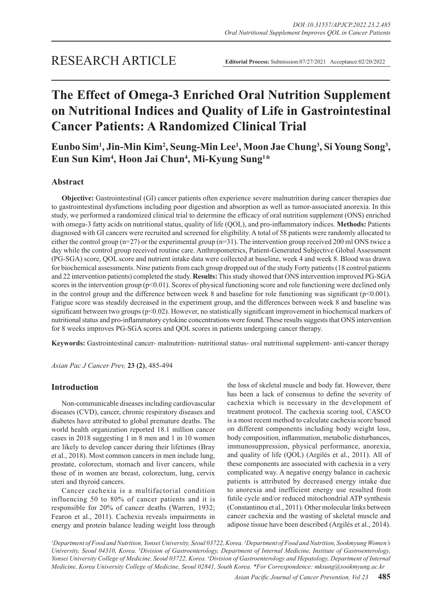# **The Effect of Omega-3 Enriched Oral Nutrition Supplement on Nutritional Indices and Quality of Life in Gastrointestinal Cancer Patients: A Randomized Clinical Trial**

**Eunbo Sim1 , Jin-Min Kim2 , Seung-Min Lee1 , Moon Jae Chung3 , Si Young Song3 , Eun Sun Kim4 , Hoon Jai Chun4 , Mi-Kyung Sung1 \***

# **Abstract**

**Objective:** Gastrointestinal (GI) cancer patients often experience severe malnutrition during cancer therapies due to gastrointestinal dysfunctions including poor digestion and absorption as well as tumor-associated anorexia. In this study, we performed a randomized clinical trial to determine the efficacy of oral nutrition supplement (ONS) enriched with omega-3 fatty acids on nutritional status, quality of life (QOL), and pro-inflammatory indices. **Methods:** Patients diagnosed with GI cancers were recruited and screened for eligibility. A total of 58 patients were randomly allocated to either the control group (n=27) or the experimental group (n=31). The intervention group received 200 ml ONS twice a day while the control group received routine care. Anthropometrics, Patient-Generated Subjective Global Assessment (PG-SGA) score, QOL score and nutrient intake data were collected at baseline, week 4 and week 8. Blood was drawn for biochemical assessments. Nine patients from each group dropped out of the study Forty patients (18 control patients and 22 intervention patients) completed the study. **Results:** This study showed that ONS intervention improved PG-SGA scores in the intervention group  $(p<0.01)$ . Scores of physical functioning score and role functioning were declined only in the control group and the difference between week 8 and baseline for role functioning was significant (p<0.001). Fatigue score was steadily decreased in the experiment group, and the differences between week 8 and baseline was significant between two groups (p<0.02). However, no statistically significant improvement in biochemical markers of nutritional status and pro-inflammatory cytokine concentrations were found. These results suggests that ONS intervention for 8 weeks improves PG-SGA scores and QOL scores in patients undergoing cancer therapy.

**Keywords:** Gastrointestinal cancer- malnutrition- nutritional status- oral nutritional supplement- anti-cancer therapy

*Asian Pac J Cancer Prev,* **23 (2)**, 485-494

# **Introduction**

Non-communicable diseases including cardiovascular diseases (CVD), cancer, chronic respiratory diseases and diabetes have attributed to global premature deaths. The world health organization reported 18.1 million cancer cases in 2018 suggesting 1 in 8 men and 1 in 10 women are likely to develop cancer during their lifetimes (Bray et al., 2018). Most common cancers in men include lung, prostate, colorectum, stomach and liver cancers, while those of in women are breast, colorectum, lung, cervix uteri and thyroid cancers.

Cancer cachexia is a multifactorial condition influencing 50 to 80% of cancer patients and it is responsible for 20% of cancer deaths (Warren, 1932; Fearon et al., 2011). Cachexia reveals impairments in energy and protein balance leading weight loss through

the loss of skeletal muscle and body fat. However, there has been a lack of consensus to define the severity of cachexia which is necessary in the development of treatment protocol. The cachexia scoring tool, CASCO is a most recent method to calculate cachexia score based on different components including body weight loss, body composition, inflammation, metabolic disturbances, immunosuppression, physical performance, anorexia, and quality of life (QOL) (Argilés et al., 2011). All of these components are associated with cachexia in a very complicated way. A negative energy balance in cachexic patients is attributed by decreased energy intake due to anorexia and inefficient energy use resulted from futile cycle and/or reduced mitochondrial ATP synthesis (Constantinou et al., 2011). Other molecular links between cancer cachexia and the wasting of skeletal muscle and adipose tissue have been described (Argilés et al., 2014).

*1 Department of Food and Nutrition, Yonsei University, Seoul 03722, Korea. 2 Department of Food and Nutrition, Sookmyung Women's*  University, Seoul 04310, Korea. <sup>3</sup> Division of Gastroenterology, Department of Internal Medicine, Institute of Gastroenterology, *Yonsei University College of Medicine, Seoul 03722, Korea. 4 Division of Gastroenterology and Hepatology, Department of Internal Medicine, Korea University College of Medicine, Seoul 02841, South Korea. \*For Correspondence: mksung@sookmyung.ac.kr*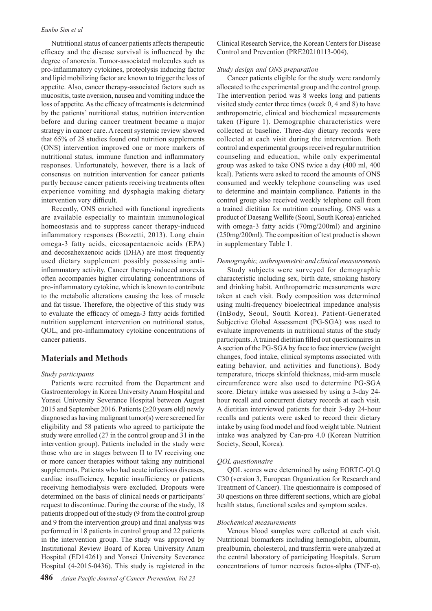#### *Eunbo Sim et al*

Nutritional status of cancer patients affects therapeutic efficacy and the disease survival is influenced by the degree of anorexia. Tumor-associated molecules such as pro-inflammatory cytokines, proteolysis inducing factor and lipid mobilizing factor are known to trigger the loss of appetite. Also, cancer therapy-associated factors such as mucositis, taste aversion, nausea and vomiting induce the loss of appetite. As the efficacy of treatments is determined by the patients' nutritional status, nutrition intervention before and during cancer treatment became a major strategy in cancer care. A recent systemic review showed that 65% of 28 studies found oral nutrition supplements (ONS) intervention improved one or more markers of nutritional status, immune function and inflammatory responses. Unfortunately, however, there is a lack of consensus on nutrition intervention for cancer patients partly because cancer patients receiving treatments often experience vomiting and dysphagia making dietary intervention very difficult.

Recently, ONS enriched with functional ingredients are available especially to maintain immunological homeostasis and to suppress cancer therapy-induced inflammatory responses (Bozzetti, 2013). Long chain omega-3 fatty acids, eicosapentaenoic acids (EPA) and decosahexaenoic acids (DHA) are most frequently used dietary supplement possibly possessing antiinflammatory activity. Cancer therapy-induced anorexia often accompanies higher circulating concentrations of pro-inflammatory cytokine, which is known to contribute to the metabolic alterations causing the loss of muscle and fat tissue. Therefore, the objective of this study was to evaluate the efficacy of omega-3 fatty acids fortified nutrition supplement intervention on nutritional status, QOL, and pro-inflammatory cytokine concentrations of cancer patients.

# **Materials and Methods**

#### *Study participants*

Patients were recruited from the Department and Gastroenterology in Korea University Anam Hospital and Yonsei University Severance Hospital between August 2015 and September 2016. Patients ( $\geq$ 20 years old) newly diagnosed as having malignant tumor(s) were screened for eligibility and 58 patients who agreed to participate the study were enrolled (27 in the control group and 31 in the intervention group). Patients included in the study were those who are in stages between II to IV receiving one or more cancer therapies without taking any nutritional supplements. Patients who had acute infectious diseases, cardiac insufficiency, hepatic insufficiency or patients receiving hemodialysis were excluded. Dropouts were determined on the basis of clinical needs or participants' request to discontinue. During the course of the study, 18 patients dropped out of the study (9 from the control group and 9 from the intervention group) and final analysis was performed in 18 patients in control group and 22 patients in the intervention group. The study was approved by Institutional Review Board of Korea University Anam Hospital (ED14261) and Yonsei University Severance Hospital (4-2015-0436). This study is registered in the

Clinical Research Service, the Korean Centers for Disease Control and Prevention (PRE20210113-004).

#### *Study design and ONS preparation*

Cancer patients eligible for the study were randomly allocated to the experimental group and the control group. The intervention period was 8 weeks long and patients visited study center three times (week 0, 4 and 8) to have anthropometric, clinical and biochemical measurements taken (Figure 1). Demographic characteristics were collected at baseline. Three-day dietary records were collected at each visit during the intervention. Both control and experimental groups received regular nutrition counseling and education, while only experimental group was asked to take ONS twice a day (400 ml, 400 kcal). Patients were asked to record the amounts of ONS consumed and weekly telephone counseling was used to determine and maintain compliance. Patients in the control group also received weekly telephone call from a trained dietitian for nutrition counseling. ONS was a product of Daesang Wellife (Seoul, South Korea) enriched with omega-3 fatty acids (70mg/200ml) and arginine (250mg/200ml). The composition of test product is shown in supplementary Table 1.

## *Demographic, anthropometric and clinical measurements*

Study subjects were surveyed for demographic characteristic including sex, birth date, smoking history and drinking habit. Anthropometric measurements were taken at each visit. Body composition was determined using multi-frequency bioelectrical impedance analysis (InBody, Seoul, South Korea). Patient-Generated Subjective Global Assessment (PG-SGA) was used to evaluate improvements in nutritional status of the study participants. A trained dietitian filled out questionnaires in A section of the PG-SGA by face to face interview (weight changes, food intake, clinical symptoms associated with eating behavior, and activities and functions). Body temperature, triceps skinfold thickness, mid-arm muscle circumference were also used to determine PG-SGA score. Dietary intake was assessed by using a 3-day 24 hour recall and concurrent dietary records at each visit. A dietitian interviewed patients for their 3-day 24-hour recalls and patients were asked to record their dietary intake by using food model and food weight table. Nutrient intake was analyzed by Can-pro 4.0 (Korean Nutrition Society, Seoul, Korea).

#### *QOL questionnaire*

QOL scores were determined by using EORTC-QLQ C30 (version 3, European Organization for Research and Treatment of Cancer). The questionnaire is composed of 30 questions on three different sections, which are global health status, functional scales and symptom scales.

#### *Biochemical measurements*

Venous blood samples were collected at each visit. Nutritional biomarkers including hemoglobin, albumin, prealbumin, cholesterol, and transferrin were analyzed at the central laboratory of participating Hospitals. Serum concentrations of tumor necrosis factos-alpha (TNF- $\alpha$ ),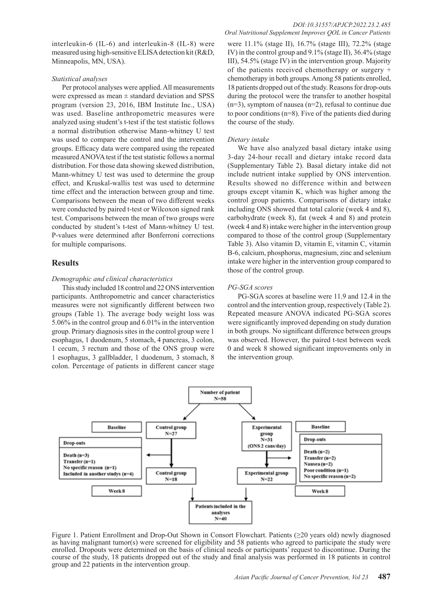interleukin-6 (IL-6) and interleukin-8 (IL-8) were measured using high-sensitive ELISA detection kit (R&D, Minneapolis, MN, USA).

#### *Statistical analyses*

Per protocol analyses were applied. All measurements were expressed as mean  $\pm$  standard deviation and SPSS program (version 23, 2016, IBM Institute Inc., USA) was used. Baseline anthropometric measures were analyzed using student's t-test if the test statistic follows a normal distribution otherwise Mann-whitney U test was used to compare the control and the intervention groups. Efficacy data were compared using the repeated measured ANOVA test if the test statistic follows a normal distribution. For those data showing skewed distribution, Mann-whitney U test was used to determine the group effect, and Kruskal-wallis test was used to determine time effect and the interaction between group and time. Comparisons between the mean of two different weeks were conducted by paired t-test or Wilcoxon signed rank test. Comparisons between the mean of two groups were conducted by student's t-test of Mann-whitney U test. P-values were determined after Bonferroni corrections for multiple comparisons.

# **Results**

# *Demographic and clinical characteristics*

This study included 18 control and 22 ONS intervention participants. Anthropometric and cancer characteristics measures were not significantly different between two groups (Table 1). The average body weight loss was 5.06% in the control group and 6.01% in the intervention group. Primary diagnosis sites in the control group were 1 esophagus, 1 duodenum, 5 stomach, 4 pancreas, 3 colon, 1 cecum, 3 rectum and those of the ONS group were 1 esophagus, 3 gallbladder, 1 duodenum, 3 stomach, 8 colon. Percentage of patients in different cancer stage were 11.1% (stage II), 16.7% (stage III), 72.2% (stage IV) in the control group and 9.1% (stage II), 36.4% (stage III), 54.5% (stage IV) in the intervention group. Majority of the patients received chemotherapy or surgery + chemotherapy in both groups. Among 58 patients enrolled, 18 patients dropped out of the study. Reasons for drop-outs during the protocol were the transfer to another hospital  $(n=3)$ , symptom of nausea  $(n=2)$ , refusal to continue due to poor conditions (n=8). Five of the patients died during the course of the study.

## *Dietary intake*

We have also analyzed basal dietary intake using 3-day 24-hour recall and dietary intake record data (Supplementary Table 2). Basal dietary intake did not include nutrient intake supplied by ONS intervention. Results showed no difference within and between groups except vitamin K, which was higher among the control group patients. Comparisons of dietary intake including ONS showed that total calorie (week 4 and 8), carbohydrate (week 8), fat (week 4 and 8) and protein (week 4 and 8) intake were higher in the intervention group compared to those of the control group (Supplementary Table 3). Also vitamin D, vitamin E, vitamin C, vitamin B-6, calcium, phosphorus, magnesium, zinc and selenium intake were higher in the intervention group compared to those of the control group.

#### *PG-SGA scores*

PG-SGA scores at baseline were 11.9 and 12.4 in the control and the intervention group, respectively (Table 2). Repeated measure ANOVA indicated PG-SGA scores were significantly improved depending on study duration in both groups. No significant difference between groups was observed. However, the paired t-test between week 0 and week 8 showed significant improvements only in the intervention group.



Figure 1. Patient Enrollment and Drop-Out Shown in Consort Flowchart. Patients (≥20 years old) newly diagnosed as having malignant tumor(s) were screened for eligibility and 58 patients who agreed to participate the study were enrolled. Dropouts were determined on the basis of clinical needs or participants' request to discontinue. During the course of the study, 18 patients dropped out of the study and final analysis was performed in 18 patients in control group and 22 patients in the intervention group.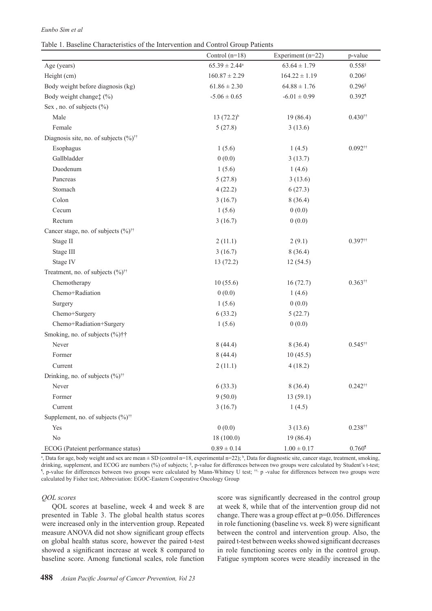## *Eunbo Sim et al*

Table 1. Baseline Characteristics of the Intervention and Control Group Patients

|                                                          | Control $(n=18)$   | Experiment (n=22) | p-value                                  |
|----------------------------------------------------------|--------------------|-------------------|------------------------------------------|
| Age (years)                                              | $65.39 \pm 2.44^a$ | $63.64 \pm 1.79$  | $0.558\ensuremath{^\circ}$               |
| Height (cm)                                              | $160.87 \pm 2.29$  | $164.22 \pm 1.19$ | $0.206$                                  |
| Body weight before diagnosis (kg)                        | $61.86 \pm 2.30$   | $64.88 \pm 1.76$  | $0.296$ <sup>§</sup>                     |
| Body weight change: (%)                                  | $-5.06 \pm 0.65$   | $-6.01 \pm 0.99$  | $0.392$ <sup>1</sup>                     |
| Sex, no. of subjects (%)                                 |                    |                   |                                          |
| Male                                                     | $13(72.2)^{b}$     | 19(86.4)          | $0.430^{11}$                             |
| Female                                                   | 5(27.8)            | 3(13.6)           |                                          |
| Diagnosis site, no. of subjects $(\%)^{\dagger \dagger}$ |                    |                   |                                          |
| Esophagus                                                | 1(5.6)             | 1(4.5)            | $0.092^{\dagger\dagger}$                 |
| Gallbladder                                              | 0(0.0)             | 3(13.7)           |                                          |
| Duodenum                                                 | 1(5.6)             | 1(4.6)            |                                          |
| Pancreas                                                 | 5(27.8)            | 3(13.6)           |                                          |
| Stomach                                                  | 4(22.2)            | 6(27.3)           |                                          |
| Colon                                                    | 3(16.7)            | 8(36.4)           |                                          |
| Cecum                                                    | 1(5.6)             | 0(0.0)            |                                          |
| Rectum                                                   | 3(16.7)            | 0(0.0)            |                                          |
| Cancer stage, no. of subjects (%) <sup>††</sup>          |                    |                   |                                          |
| Stage II                                                 | 2(11.1)            | 2(9.1)            | $0.397$ <sup>tt</sup>                    |
| Stage III                                                | 3(16.7)            | 8(36.4)           |                                          |
| Stage IV                                                 | 13(72.2)           | 12(54.5)          |                                          |
| Treatment, no. of subjects (%) <sup>††</sup>             |                    |                   |                                          |
| Chemotherapy                                             | 10(55.6)           | 16(72.7)          | $0.363$ <sup><math>\dagger</math>†</sup> |
| Chemo+Radiation                                          | 0(0.0)             | 1(4.6)            |                                          |
| Surgery                                                  | 1(5.6)             | 0(0.0)            |                                          |
| Chemo+Surgery                                            | 6(33.2)            | 5(22.7)           |                                          |
| Chemo+Radiation+Surgery                                  | 1(5.6)             | 0(0.0)            |                                          |
| Smoking, no. of subjects (%)††                           |                    |                   |                                          |
| Never                                                    | 8(44.4)            | 8(36.4)           | $0.545$ <sup>††</sup>                    |
| Former                                                   | 8(44.4)            | 10(45.5)          |                                          |
| Current                                                  | 2(11.1)            | 4(18.2)           |                                          |
| Drinking, no. of subjects (%) <sup>††</sup>              |                    |                   |                                          |
| Never                                                    | 6(33.3)            | 8(36.4)           | $0.242$ <sup>††</sup>                    |
| Former                                                   | 9(50.0)            | 13(59.1)          |                                          |
| Current                                                  | 3(16.7)            | 1(4.5)            |                                          |
| Supplement, no. of subjects (%) <sup>††</sup>            |                    |                   |                                          |
| Yes                                                      | 0(0.0)             | 3(13.6)           | $0.238$ <sup>††</sup>                    |
| $\rm No$                                                 | 18(100.0)          | 19(86.4)          |                                          |
| ECOG (Pateient performance status)                       | $0.89 \pm 0.14$    | $1.00\pm0.17$     | $0.760$ <sup>1</sup>                     |

<sup>a</sup>, Data for age, body weight and sex are mean  $\pm$  SD (control n=18, experimental n=22); <sup>b</sup>, Data for diagnostic site, cancer stage, treatment, smoking, drinking, supplement, and ECOG are numbers (%) of subjects; § , p-value for differences between two groups were calculated by Student's t-test; ¶ , p-value for differences between two groups were calculated by Mann-Whitney U test; ††, p -value for differences between two groups were calculated by Fisher test; Abbreviation: EGOC-Eastern Cooperative Oncology Group

## *QOL scores*

QOL scores at baseline, week 4 and week 8 are presented in Table 3. The global health status scores were increased only in the intervention group. Repeated measure ANOVA did not show significant group effects on global health status score, however the paired t-test showed a significant increase at week 8 compared to baseline score. Among functional scales, role function score was significantly decreased in the control group at week 8, while that of the intervention group did not change. There was a group effect at p=0.056. Differences in role functioning (baseline vs. week 8) were significant between the control and intervention group. Also, the paired t-test between weeks showed significant decreases in role functioning scores only in the control group. Fatigue symptom scores were steadily increased in the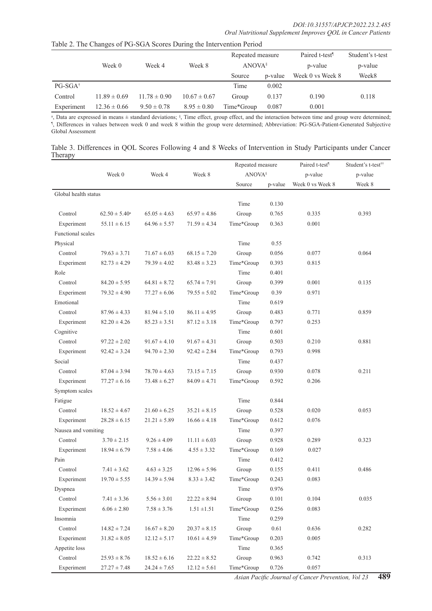|                    |                  |                  |                  | Repeated measure   |         | Paired t-test <sup>1</sup> | Student's t-test |
|--------------------|------------------|------------------|------------------|--------------------|---------|----------------------------|------------------|
|                    | Week 0           | Week 4           | Week 8           | ANOVA <sup>§</sup> |         | p-value                    | p-value          |
|                    |                  |                  |                  | Source             | p-value | Week 0 vs Week 8           | Week8            |
| $PG-SGA^{\dagger}$ |                  |                  |                  | Time               | 0.002   |                            |                  |
| Control            | $11.89 \pm 0.69$ | $11.78 \pm 0.90$ | $10.67 \pm 0.67$ | Group              | 0.137   | 0.190                      | 0.118            |
| Experiment         | $12.36 \pm 0.66$ | $9.50 \pm 0.78$  | $8.95 \pm 0.80$  | Time*Group         | 0.087   | 0.001                      |                  |

Table 2. The Changes of PG-SGA Scores During the Intervention Period

a, Data are expressed in means ± standard deviations; §, Time effect, group effect, and the interaction between time and group were determined;<br>1, Differences in values between week 0 and week 8 within the group were deter Global Assessment

Table 3. Differences in QOL Scores Following 4 and 8 Weeks of Intervention in Study Participants under Cancer Therapy

|                      |                    |                  |                  | Repeated measure<br><b>ANOVA</b> <sup>§</sup> |         | Paired t-test <sup>1</sup> | Student's t-test <sup>††</sup> |
|----------------------|--------------------|------------------|------------------|-----------------------------------------------|---------|----------------------------|--------------------------------|
|                      | Week 0             | Week 4           | Week 8           |                                               |         | p-value                    | p-value                        |
|                      |                    |                  |                  | Source                                        | p-value | Week 0 vs Week 8           | Week 8                         |
| Global health status |                    |                  |                  |                                               |         |                            |                                |
|                      |                    |                  |                  | Time                                          | 0.130   |                            |                                |
| Control              | $62.50 \pm 5.40^a$ | $65.05 \pm 4.63$ | $65.97 \pm 4.86$ | Group                                         | 0.765   | 0.335                      | 0.393                          |
| Experiment           | $55.11 \pm 6.15$   | $64.96 \pm 5.57$ | $71.59 \pm 4.34$ | Time*Group                                    | 0.363   | 0.001                      |                                |
| Functional scales    |                    |                  |                  |                                               |         |                            |                                |
| Physical             |                    |                  |                  | Time                                          | 0.55    |                            |                                |
| Control              | $79.63 \pm 3.71$   | $71.67 \pm 6.03$ | $68.15 \pm 7.20$ | Group                                         | 0.056   | 0.077                      | 0.064                          |
| Experiment           | $82.73 \pm 4.29$   | $79.39 \pm 4.02$ | $83.48 \pm 3.23$ | Time*Group                                    | 0.393   | 0.815                      |                                |
| Role                 |                    |                  |                  | Time                                          | 0.401   |                            |                                |
| Control              | $84.20 \pm 5.95$   | $64.81 \pm 8.72$ | $65.74 \pm 7.91$ | Group                                         | 0.399   | 0.001                      | 0.135                          |
| Experiment           | $79.32 \pm 4.90$   | $77.27 \pm 6.06$ | $79.55 \pm 5.02$ | Time*Group                                    | 0.39    | 0.971                      |                                |
| Emotional            |                    |                  |                  | Time                                          | 0.619   |                            |                                |
| Control              | $87.96 \pm 4.33$   | $81.94 \pm 5.10$ | $86.11 \pm 4.95$ | Group                                         | 0.483   | 0.771                      | 0.859                          |
| Experiment           | $82.20 \pm 4.26$   | $85.23 \pm 3.51$ | $87.12 \pm 3.18$ | Time*Group                                    | 0.797   | 0.253                      |                                |
| Cognitive            |                    |                  |                  | Time                                          | 0.601   |                            |                                |
| Control              | $97.22 \pm 2.02$   | $91.67 \pm 4.10$ | $91.67 \pm 4.31$ | Group                                         | 0.503   | 0.210                      | 0.881                          |
| Experiment           | $92.42 \pm 3.24$   | $94.70 \pm 2.30$ | $92.42 \pm 2.84$ | Time*Group                                    | 0.793   | 0.998                      |                                |
| Social               |                    |                  |                  | Time                                          | 0.437   |                            |                                |
| Control              | $87.04 \pm 3.94$   | $78.70 \pm 4.63$ | $73.15 \pm 7.15$ | Group                                         | 0.930   | 0.078                      | 0.211                          |
| Experiment           | $77.27 \pm 6.16$   | $73.48 \pm 6.27$ | $84.09 \pm 4.71$ | Time*Group                                    | 0.592   | 0.206                      |                                |
| Symptom scales       |                    |                  |                  |                                               |         |                            |                                |
| Fatigue              |                    |                  |                  | Time                                          | 0.844   |                            |                                |
| Control              | $18.52 \pm 4.67$   | $21.60 \pm 6.25$ | $35.21 \pm 8.15$ | Group                                         | 0.528   | 0.020                      | 0.053                          |
| Experiment           | $28.28 \pm 6.15$   | $21.21 \pm 5.89$ | $16.66 \pm 4.18$ | Time*Group                                    | 0.612   | 0.076                      |                                |
| Nausea and vomiting  |                    |                  |                  | Time                                          | 0.397   |                            |                                |
| Control              | $3.70 \pm 2.15$    | $9.26 \pm 4.09$  | $11.11 \pm 6.03$ | Group                                         | 0.928   | 0.289                      | 0.323                          |
| Experiment           | $18.94 \pm 6.79$   | $7.58 \pm 4.06$  | $4.55 \pm 3.32$  | Time*Group                                    | 0.169   | 0.027                      |                                |
| Pain                 |                    |                  |                  | Time                                          | 0.412   |                            |                                |
| Control              | $7.41 \pm 3.62$    | $4.63 \pm 3.25$  | $12.96 \pm 5.96$ | Group                                         | 0.155   | 0.411                      | 0.486                          |
| Experiment           | $19.70 \pm 5.55$   | $14.39 \pm 5.94$ | $8.33 \pm 3.42$  | Time*Group                                    | 0.243   | 0.083                      |                                |
| Dyspnea              |                    |                  |                  | Time                                          | 0.976   |                            |                                |
| Control              | $7.41 \pm 3.36$    | $5.56 \pm 3.01$  | $22.22 \pm 8.94$ | Group                                         | 0.101   | 0.104                      | 0.035                          |
| Experiment           | $6.06 \pm 2.80$    | $7.58 \pm 3.76$  | $1.51 \pm 1.51$  | Time*Group                                    | 0.256   | 0.083                      |                                |
| Insomnia             |                    |                  |                  | Time                                          | 0.259   |                            |                                |
| Control              | $14.82 \pm 7.24$   | $16.67 \pm 8.20$ | $20.37 \pm 8.15$ | Group                                         | 0.61    | 0.636                      | 0.282                          |
| Experiment           | $31.82 \pm 8.05$   | $12.12 \pm 5.17$ | $10.61 \pm 4.59$ | Time*Group                                    | 0.203   | 0.005                      |                                |
| Appetite loss        |                    |                  |                  | Time                                          | 0.365   |                            |                                |
| Control              | $25.93 \pm 8.76$   | $18.52 \pm 6.16$ | $22.22 \pm 8.52$ | Group                                         | 0.963   | 0.742                      | 0.313                          |
| Experiment           | $27.27 \pm 7.48$   | $24.24\pm7.65$   | $12.12 \pm 5.61$ | Time*Group                                    | 0.726   | 0.057                      |                                |

*Asian Pacific Journal of Cancer Prevention, Vol 23* **489**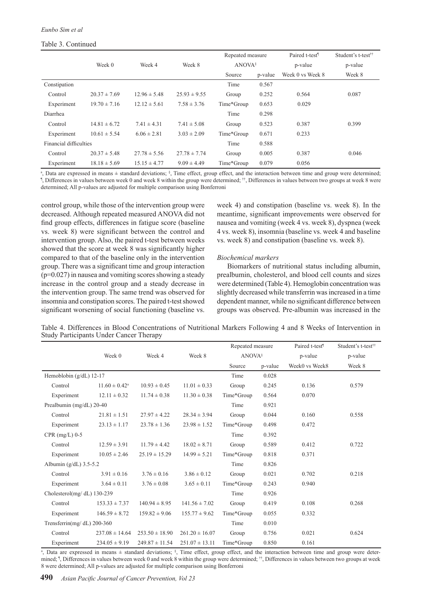# Table 3. Continued

|                        |                  |                  |                  | Repeated measure   |         | Paired t-test <sup>1</sup> | Student's t-test <sup>††</sup> |
|------------------------|------------------|------------------|------------------|--------------------|---------|----------------------------|--------------------------------|
|                        | Week 0           | Week 4           | Week 8           | ANOVA <sup>§</sup> |         | p-value                    | p-value                        |
|                        |                  |                  |                  | Source             | p-value | Week 0 vs Week 8           | Week 8                         |
| Constipation           |                  |                  |                  | Time               | 0.567   |                            |                                |
| Control                | $20.37 \pm 7.69$ | $12.96 \pm 5.48$ | $25.93 \pm 9.55$ | Group              | 0.252   | 0.564                      | 0.087                          |
| Experiment             | $19.70 \pm 7.16$ | $12.12 \pm 5.61$ | $7.58 \pm 3.76$  | Time*Group         | 0.653   | 0.029                      |                                |
| Diarrhea               |                  |                  |                  | Time               | 0.298   |                            |                                |
| Control                | $14.81 \pm 6.72$ | $7.41 \pm 4.31$  | $7.41 \pm 5.08$  | Group              | 0.523   | 0.387                      | 0.399                          |
| Experiment             | $10.61 \pm 5.54$ | $6.06 \pm 2.81$  | $3.03 \pm 2.09$  | Time*Group         | 0.671   | 0.233                      |                                |
| Financial difficulties |                  |                  |                  | Time               | 0.588   |                            |                                |
| Control                | $20.37 \pm 5.48$ | $27.78 \pm 5.56$ | $27.78 \pm 7.74$ | Group              | 0.005   | 0.387                      | 0.046                          |
| Experiment             | $18.18 \pm 5.69$ | $15.15 \pm 4.77$ | $9.09 \pm 4.49$  | Time*Group         | 0.079   | 0.056                      |                                |

a, Data are expressed in means  $\pm$  standard deviations; §, Time effect, group effect, and the interaction between time and group were determined;  $\uparrow$  Differences in values between two groups at week 8 were , Differences in values between week 0 and week 8 within the group were determined; ††, Differences in values between two groups at week 8 were determined; All p-values are adjusted for multiple comparison using Bonferroni

control group, while those of the intervention group were decreased. Although repeated measured ANOVA did not find group effects, differences in fatigue score (baseline vs. week 8) were significant between the control and intervention group. Also, the paired t-test between weeks showed that the score at week 8 was significantly higher compared to that of the baseline only in the intervention group. There was a significant time and group interaction (p=0.027) in nausea and vomiting scores showing a steady increase in the control group and a steady decrease in the intervention group. The same trend was observed for insomnia and constipation scores. The paired t-test showed significant worsening of social functioning (baseline vs.

week 4) and constipation (baseline vs. week 8). In the meantime, significant improvements were observed for nausea and vomiting (week 4 vs. week 8), dyspnea (week 4 vs. week 8), insomnia (baseline vs. week 4 and baseline vs. week 8) and constipation (baseline vs. week 8).

#### *Biochemical markers*

Biomarkers of nutritional status including albumin, prealbumin, cholesterol, and blood cell counts and sizes were determined (Table 4). Hemoglobin concentration was slightly decreased while transferrin was increased in a time dependent manner, while no significant difference between groups was observed. Pre-albumin was increased in the

Table 4. Differences in Blood Concentrations of Nutritional Markers Following 4 and 8 Weeks of Intervention in Study Participants Under Cancer Therapy

|                              |                             |                    |                    | Repeated measure |         | Paired t-test <sup>1</sup> | Student's t-test <sup>††</sup> |
|------------------------------|-----------------------------|--------------------|--------------------|------------------|---------|----------------------------|--------------------------------|
|                              | Week 0                      | Week 4             | Week 8             | <b>ANOVA</b> §   |         | p-value                    | p-value                        |
|                              |                             |                    |                    | Source           | p-value | Week0 vs Week8             | Week 8                         |
| Hemoblobin $(g/dL)$ 12-17    |                             |                    |                    | Time             | 0.028   |                            |                                |
| Control                      | $11.60 \pm 0.42^{\text{a}}$ | $10.93 \pm 0.45$   | $11.01 \pm 0.33$   | Group            | 0.245   | 0.136                      | 0.579                          |
| Experiment                   | $12.11 \pm 0.32$            | $11.74 \pm 0.38$   | $11.30 \pm 0.38$   | Time*Group       | 0.564   | 0.070                      |                                |
| Prealbumin (mg/dL) 20-40     |                             |                    |                    | Time             | 0.921   |                            |                                |
| Control                      | $21.81 \pm 1.51$            | $27.97 \pm 4.22$   | $28.34 \pm 3.94$   | Group            | 0.044   | 0.160                      | 0.558                          |
| Experiment                   | $23.13 \pm 1.17$            | $23.78 \pm 1.36$   | $23.98 \pm 1.52$   | Time*Group       | 0.498   | 0.472                      |                                |
| $CPR$ (mg/L) 0-5             |                             |                    |                    | Time             | 0.392   |                            |                                |
| Control                      | $12.59 \pm 3.91$            | $11.79 \pm 4.42$   | $18.02 \pm 8.71$   | Group            | 0.589   | 0.412                      | 0.722                          |
| Experiment                   | $10.05 \pm 2.46$            | $25.19 \pm 15.29$  | $14.99 \pm 5.21$   | Time*Group       | 0.818   | 0.371                      |                                |
| Albumin $(g/dL)$ 3.5-5.2     |                             |                    |                    | Time             | 0.826   |                            |                                |
| Control                      | $3.91 \pm 0.16$             | $3.76 \pm 0.16$    | $3.86 \pm 0.12$    | Group            | 0.021   | 0.702                      | 0.218                          |
| Experiment                   | $3.64 \pm 0.11$             | $3.76 \pm 0.08$    | $3.65 \pm 0.11$    | Time*Group       | 0.243   | 0.940                      |                                |
| Cholesterol(mg/dL) 130-239   |                             |                    |                    | Time             | 0.926   |                            |                                |
| Control                      | $153.33 \pm 7.37$           | $140.94 \pm 8.95$  | $141.56 \pm 7.02$  | Group            | 0.419   | 0.108                      | 0.268                          |
| Experiment                   | $146.59 \pm 8.72$           | $159.82 \pm 9.06$  | $155.77 \pm 9.62$  | Time*Group       | 0.055   | 0.332                      |                                |
| Trensferrin(mg/dL) $200-360$ |                             |                    |                    | Time             | 0.010   |                            |                                |
| Control                      | $237.08 \pm 14.64$          | $253.50 \pm 18.90$ | $261.20 \pm 16.07$ | Group            | 0.756   | 0.021                      | 0.624                          |
| Experiment                   | $234.05 \pm 9.19$           | $249.87 \pm 11.54$ | $251.07 \pm 13.11$ | Time*Group       | 0.850   | 0.161                      |                                |

<sup>a</sup>, Data are expressed in means  $\pm$  standard deviations; <sup>§</sup>, Time effect, group effect, and the interaction between time and group were determined; <sup>1</sup>, Differences in values between week 0 and week 8 within the group were determined; <sup>††</sup>, Differences in values between two groups at week 8 were determined; All p-values are adjusted for multiple comparison using Bonferroni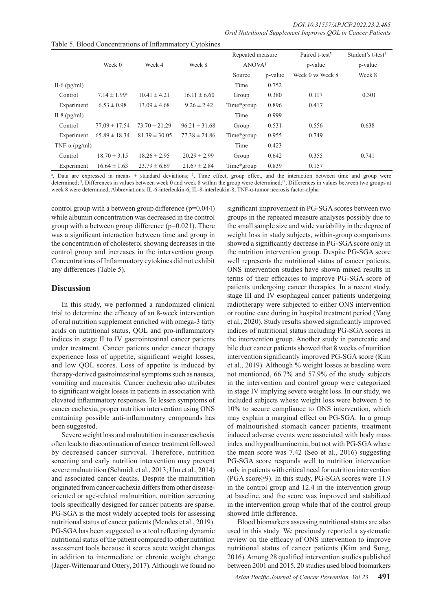|                       |                         |                   |                   | Repeated measure   |         | Paired t-test <sup>1</sup> | Student's t-test <sup>††</sup> |
|-----------------------|-------------------------|-------------------|-------------------|--------------------|---------|----------------------------|--------------------------------|
|                       | Week 0                  | Week 4            | Week 8            | ANOVA <sup>§</sup> |         | p-value                    | p-value                        |
|                       |                         |                   |                   | Source             | p-value | Week 0 vs Week 8           | Week 8                         |
| Il-6 $(pg/ml)$        |                         |                   |                   | Time               | 0.752   |                            |                                |
| Control               | $7.14 \pm 1.99^{\rm a}$ | $10.41 \pm 4.21$  | $16.11 \pm 6.60$  | Group              | 0.380   | 0.117                      | 0.301                          |
| Experiment            | $6.53 \pm 0.98$         | $13.09 \pm 4.68$  | $9.26 \pm 2.42$   | Time*group         | 0.896   | 0.417                      |                                |
| Il-8 $(pg/ml)$        |                         |                   |                   | Time               | 0.999   |                            |                                |
| Control               | $77.09 \pm 17.54$       | $73.70 \pm 21.29$ | $96.21 \pm 31.68$ | Group              | 0.531   | 0.556                      | 0.638                          |
| Experiment            | $65.89 \pm 18.34$       | $81.39 \pm 30.05$ | $77.38 \pm 24.86$ | Time*group         | 0.955   | 0.749                      |                                |
| TNF- $\alpha$ (pg/ml) |                         |                   |                   | Time               | 0.423   |                            |                                |
| Control               | $18.70 \pm 3.15$        | $18.26 \pm 2.95$  | $20.29 \pm 2.99$  | Group              | 0.642   | 0.355                      | 0.741                          |
| Experiment            | $16.64 \pm 1.63$        | $23.79 \pm 6.69$  | $21.67 \pm 2.84$  | Time*group         | 0.839   | 0.157                      |                                |

Table 5. Blood Concentrations of Inflammatory Cytokines

<sup>a</sup>, Data are expressed in means  $\pm$  standard deviations; <sup>§</sup>, Time effect, group effect, and the interaction between time and group were determined; <sup>1</sup>, Differences in values between week 0 and week 8 within the group were determined;<sup>††</sup>, Differences in values between two groups at week 8 were determined; Abbreviations: IL-6-interleukin-6, IL-8-interleukin-8, TNF-α-tumor necrosis factor-alpha

control group with a between group difference (p=0.044) while albumin concentration was decreased in the control group with a between group difference  $(p=0.021)$ . There was a significant interaction between time and group in the concentration of cholesterol showing decreases in the control group and increases in the intervention group. Concentrations of Inflammatory cytokines did not exhibit any differences (Table 5).

# **Discussion**

In this study, we performed a randomized clinical trial to determine the efficacy of an 8-week intervention of oral nutrition supplement enriched with omega-3 fatty acids on nutritional status, QOL and pro-inflammatory indices in stage II to IV gastrointestinal cancer patients under treatment. Cancer patients under cancer therapy experience loss of appetite, significant weight losses, and low QOL scores. Loss of appetite is induced by therapy-derived gastrointestinal symptoms such as nausea, vomiting and mucositis. Cancer cachexia also attributes to significant weight losses in patients in association with elevated inflammatory responses. To lessen symptoms of cancer cachexia, proper nutrition intervention using ONS containing possible anti-inflammatory compounds has been suggested.

Severe weight loss and malnutrition in cancer cachexia often leads to discontinuation of cancer treatment followed by decreased cancer survival. Therefore, nutrition screening and early nutrition intervention may prevent severe malnutrition (Schmidt et al., 2013; Um et al., 2014) and associated cancer deaths. Despite the malnutrition originated from cancer cachexia differs from other diseaseoriented or age-related malnutrition, nutrition screening tools specifically designed for cancer patients are sparse. PG-SGA is the most widely accepted tools for assessing nutritional status of cancer patients (Mendes et al., 2019). PG-SGA has been suggested as a tool reflecting dynamic nutritional status of the patient compared to other nutrition assessment tools because it scores acute weight changes in addition to intermediate or chronic weight change (Jager-Wittenaar and Ottery, 2017). Although we found no

significant improvement in PG-SGA scores between two groups in the repeated measure analyses possibly due to the small sample size and wide variability in the degree of weight loss in study subjects, within-group comparisons showed a significantly decrease in PG-SGA score only in the nutrition intervention group. Despite PG-SGA score well represents the nutritional status of cancer patients, ONS intervention studies have shown mixed results in terms of their efficacies to improve PG-SGA score of patients undergoing cancer therapies. In a recent study, stage III and IV esophageal cancer patients undergoing radiotherapy were subjected to either ONS intervention or routine care during in hospital treatment period (Yang et al., 2020). Study results showed significantly improved indices of nutritional status including PG-SGA scores in the intervention group. Another study in pancreatic and bile duct cancer patients showed that 8 weeks of nutrition intervention significantly improved PG-SGA score (Kim et al., 2019). Although % weight losses at baseline were not mentioned, 66.7% and 57.9% of the study subjects in the intervention and control group were categorized in stage IV implying severe weight loss. In our study, we included subjects whose weight loss were between 5 to 10% to secure compliance to ONS intervention, which may explain a marginal effect on PG-SGA. In a group of malnourished stomach cancer patients, treatment induced adverse events were associated with body mass index and hypoalbuminemia, but not with PG-SGA where the mean score was 7.42 (Seo et al., 2016) suggesting PG-SGA score responds well to nutrition intervention only in patients with critical need for nutrition intervention (PGA score≥9). In this study, PG-SGA scores were 11.9 in the control group and 12.4 in the intervention group at baseline, and the score was improved and stabilized in the intervention group while that of the control group showed little difference.

Blood biomarkers assessing nutritional status are also used in this study. We previously reported a systematic review on the efficacy of ONS intervention to improve nutritional status of cancer patients (Kim and Sung, 2016). Among 28 qualified intervention studies published between 2001 and 2015, 20 studies used blood biomarkers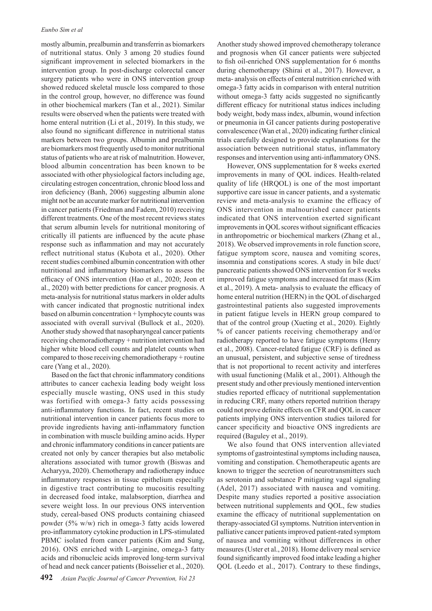mostly albumin, prealbumin and transferrin as biomarkers of nutritional status. Only 3 among 20 studies found significant improvement in selected biomarkers in the intervention group. In post-discharge colorectal cancer surgery patients who were in ONS intervention group showed reduced skeletal muscle loss compared to those in the control group, however, no difference was found in other biochemical markers (Tan et al., 2021). Similar results were observed when the patients were treated with home enteral nutrition (Li et al., 2019). In this study, we also found no significant difference in nutritional status markers between two groups. Albumin and prealbumin are biomarkers most frequently used to monitor nutritional status of patients who are at risk of malnutrition. However, blood albumin concentration has been known to be associated with other physiological factors including age, circulating estrogen concentration, chronic blood loss and iron deficiency (Banh, 2006) suggesting albumin alone might not be an accurate marker for nutritional intervention in cancer patients (Friedman and Fadem, 2010) receiving different treatments. One of the most recent reviews states that serum albumin levels for nutritional monitoring of critically ill patients are influenced by the acute phase response such as inflammation and may not accurately reflect nutritional status (Kubota et al., 2020). Other recent studies combined albumin concentration with other nutritional and inflammatory biomarkers to assess the efficacy of ONS intervention (Hao et al., 2020; Jeon et al., 2020) with better predictions for cancer prognosis. A meta-analysis for nutritional status markers in older adults with cancer indicated that prognostic nutritional index based on albumin concentration + lymphocyte counts was associated with overall survival (Bullock et al., 2020). Another study showed that nasopharyngeal cancer patients receiving chemoradiotherapy + nutrition intervention had higher white blood cell counts and platelet counts when compared to those receiving chemoradiotherapy + routine care (Yang et al., 2020).

Based on the fact that chronic inflammatory conditions attributes to cancer cachexia leading body weight loss especially muscle wasting, ONS used in this study was fortified with omega-3 fatty acids possessing anti-inflammatory functions. In fact, recent studies on nutritional intervention in cancer patients focus more to provide ingredients having anti-inflammatory function in combination with muscle building amino acids. Hyper and chronic inflammatory conditions in cancer patients are created not only by cancer therapies but also metabolic alterations associated with tumor growth (Biswas and Acharyya, 2020). Chemotherapy and radiotherapy induce inflammatory responses in tissue epithelium especially in digestive tract contributing to mucositis resulting in decreased food intake, malabsorption, diarrhea and severe weight loss. In our previous ONS intervention study, cereal-based ONS products containing chiaseed powder (5% w/w) rich in omega-3 fatty acids lowered pro-inflammatory cytokine production in LPS-stimulated PBMC isolated from cancer patients (Kim and Sung, 2016). ONS enriched with L-arginine, omega-3 fatty acids and ribonucleic acids improved long-term survival of head and neck cancer patients (Boisselier et al., 2020).

Another study showed improved chemotherapy tolerance and prognosis when GI cancer patients were subjected to fish oil-enriched ONS supplementation for 6 months during chemotherapy (Shirai et al., 2017). However, a meta- analysis on effects of enteral nutrition enriched with omega-3 fatty acids in comparison with enteral nutrition without omega-3 fatty acids suggested no significantly different efficacy for nutritional status indices including body weight, body mass index, albumin, wound infection or pneumonia in GI cancer patients during postoperative convalescence (Wan et al., 2020) indicating further clinical trials carefully designed to provide explanations for the association between nutritional status, inflammatory responses and intervention using anti-inflammatory ONS.

However, ONS supplementation for 8 weeks exerted improvements in many of QOL indices. Health-related quality of life (HRQOL) is one of the most important supportive care issue in cancer patients, and a systematic review and meta-analysis to examine the efficacy of ONS intervention in malnourished cancer patients indicated that ONS intervention exerted significant improvements in QOL scores without significant efficacies in anthropometric or biochemical markers (Zhang et al., 2018). We observed improvements in role function score, fatigue symptom score, nausea and vomiting scores, insomnia and constipations scores. A study in bile duct/ pancreatic patients showed ONS intervention for 8 weeks improved fatigue symptoms and increased fat mass (Kim et al., 2019). A meta- analysis to evaluate the efficacy of home enteral nutrition (HERN) in the QOL of discharged gastrointestinal patients also suggested improvements in patient fatigue levels in HERN group compared to that of the control group (Xueting et al., 2020). Eightly % of cancer patients receiving chemotherapy and/or radiotherapy reported to have fatigue symptoms (Henry et al., 2008). Cancer-related fatigue (CRF) is defined as an unusual, persistent, and subjective sense of tiredness that is not proportional to recent activity and interferes with usual functioning (Malik et al., 2001). Although the present study and other previously mentioned intervention studies reported efficacy of nutritional supplementation in reducing CRF, many others reported nutrition therapy could not prove definite effects on CFR and QOL in cancer patients implying ONS intervention studies tailored for cancer specificity and bioactive ONS ingredients are required (Baguley et al., 2019).

We also found that ONS intervention alleviated symptoms of gastrointestinal symptoms including nausea, vomiting and constipation. Chemotherapeutic agents are known to trigger the secretion of neurotransmitters such as serotonin and substance P mitigating vagal signaling (Adel, 2017) associated with nausea and vomiting. Despite many studies reported a positive association between nutritional supplements and QOL, few studies examine the efficacy of nutritional supplementation on therapy-associated GI symptoms. Nutrition intervention in palliative cancer patients improved patient-rated symptom of nausea and vomiting without differences in other measures (Uster et al., 2018). Home delivery meal service found significantly improved food intake leading a higher QOL (Leedo et al., 2017). Contrary to these findings,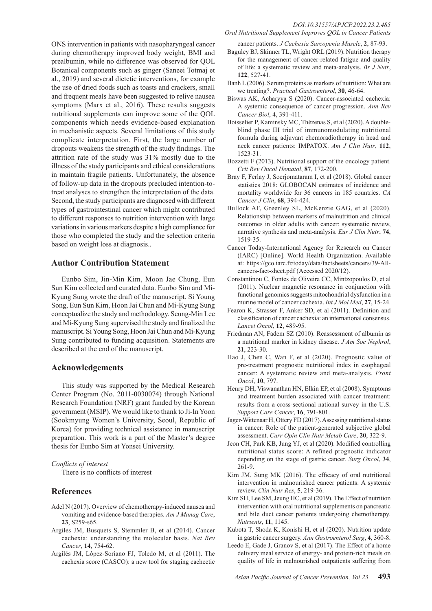ONS intervention in patients with nasopharyngeal cancer during chemotherapy improved body weight, BMI and prealbumin, while no difference was observed for QOL Botanical components such as ginger (Saneei Totmaj et al., 2019) and several dietetic interventions, for example the use of dried foods such as toasts and crackers, small and frequent meals have been suggested to relive nausea symptoms (Marx et al., 2016). These results suggests nutritional supplements can improve some of the QOL components which needs evidence-based explanation in mechanistic aspects. Several limitations of this study complicate interpretation. First, the large number of dropouts weakens the strength of the study findings. The attrition rate of the study was 31% mostly due to the illness of the study participants and ethical considerations in maintain fragile patients. Unfortunately, the absence of follow-up data in the dropouts precluded intention-totreat analyses to strengthen the interpretation of the data. Second, the study participants are diagnosed with different types of gastrointestinal cancer which might contributed to different responses to nutrition intervention with large variations in various markers despite a high compliance for those who completed the study and the selection criteria based on weight loss at diagnosis..

# **Author Contribution Statement**

Eunbo Sim, Jin-Min Kim, Moon Jae Chung, Eun Sun Kim collected and curated data. Eunbo Sim and Mi-Kyung Sung wrote the draft of the manuscript. Si Young Song, Eun Sun Kim, Hoon Jai Chun and Mi-Kyung Sung conceptualize the study and methodology. Seung-Min Lee and Mi-Kyung Sung supervised the study and finalized the manuscript. Si Young Song, Hoon Jai Chun and Mi-Kyung Sung contributed to funding acquisition. Statements are described at the end of the manuscript.

# **Acknowledgements**

This study was supported by the Medical Research Center Program (No. 2011-0030074) through National Research Foundation (NRF) grant funded by the Korean government (MSIP). We would like to thank to Ji-In Yoon (Sookmyung Women's University, Seoul, Republic of Korea) for providing technical assistance in manuscript preparation. This work is a part of the Master's degree thesis for Eunbo Sim at Yonsei University.

#### *Conflicts of interest*

There is no conflicts of interest

# **References**

- Adel N (2017). Overview of chemotherapy-induced nausea and vomiting and evidence-based therapies. *Am J Manag Care*, **23**, S259-s65.
- Argilés JM, Busquets S, Stemmler B, et al (2014). Cancer cachexia: understanding the molecular basis. *Nat Rev Cancer*, **14**, 754-62.
- Argilés JM, López-Soriano FJ, Toledo M, et al (2011). The cachexia score (CASCO): a new tool for staging cachectic

*Oral Nutritional Supplement Improves QOL in Cancer Patients*

cancer patients. *J Cachexia Sarcopenia Muscle*, **2**, 87-93.

- Baguley BJ, Skinner TL, Wright ORL (2019). Nutrition therapy for the management of cancer-related fatigue and quality of life: a systematic review and meta-analysis. *Br J Nutr*, **122**, 527-41.
- Banh L (2006). Serum proteins as markers of nutrition: What are we treating?. *Practical Gastroenterol*, **30**, 46-64.
- Biswas AK, Acharyya S (2020). Cancer-associated cachexia: A systemic consequence of cancer progression. *Ann Rev Cancer Biol*, **4**, 391-411.
- Boisselier P, Kaminsky MC, Thézenas S, et al (2020). A doubleblind phase III trial of immunomodulating nutritional formula during adjuvant chemoradiotherapy in head and neck cancer patients: IMPATOX. *Am J Clin Nutr*, **112**, 1523-31.
- Bozzetti F (2013). Nutritional support of the oncology patient. *Crit Rev Oncol Hematol*, **87**, 172-200.
- Bray F, Ferlay J, Soerjomataram I, et al (2018). Global cancer statistics 2018: GLOBOCAN estimates of incidence and mortality worldwide for 36 cancers in 185 countries. *CA Cancer J Clin*, **68**, 394-424.
- Bullock AF, Greenley SL, McKenzie GAG, et al (2020). Relationship between markers of malnutrition and clinical outcomes in older adults with cancer: systematic review, narrative synthesis and meta-analysis. *Eur J Clin Nutr*, **74**, 1519-35.
- Cancer Today-International Agency for Research on Cancer (IARC) [Online]. World Health Organization. Available at: https://gco.iarc.fr/today/data/factsheets/cancers/39-Allcancers-fact-sheet.pdf (Accessed 2020/12).
- Constantinou C, Fontes de Oliveira CC, Mintzopoulos D, et al (2011). Nuclear magnetic resonance in conjunction with functional genomics suggests mitochondrial dysfunction in a murine model of cancer cachexia. *Int J Mol Med*, **27**, 15-24.
- Fearon K, Strasser F, Anker SD, et al (2011). Definition and classification of cancer cachexia: an international consensus. *Lancet Oncol*, **12**, 489-95.
- Friedman AN, Fadem SZ (2010). Reassessment of albumin as a nutritional marker in kidney disease. *J Am Soc Nephrol*, **21**, 223-30.
- Hao J, Chen C, Wan F, et al (2020). Prognostic value of pre-treatment prognostic nutritional index in esophageal cancer: A systematic review and meta-analysis. *Front Oncol*, **10**, 797.
- Henry DH, Viswanathan HN, Elkin EP, et al (2008). Symptoms and treatment burden associated with cancer treatment: results from a cross-sectional national survey in the U.S. *Support Care Cancer*, **16**, 791-801.
- Jager-Wittenaar H, Ottery FD (2017). Assessing nutritional status in cancer: Role of the patient-generated subjective global assessment. *Curr Opin Clin Nutr Metab Care*, **20**, 322-9.
- Jeon CH, Park KB, Jung YJ, et al (2020). Modified controlling nutritional status score: A refined prognostic indicator depending on the stage of gastric cancer. *Surg Oncol*, **34**, 261-9.
- Kim JM, Sung MK (2016). The efficacy of oral nutritional intervention in malnourished cancer patients: A systemic review. *Clin Nutr Res*, **5**, 219-36.
- Kim SH, Lee SM, Jeung HC, et al (2019). The Effect of nutrition intervention with oral nutritional supplements on pancreatic and bile duct cancer patients undergoing chemotherapy. *Nutrients*, **11**, 1145.
- Kubota T, Shoda K, Konishi H, et al (2020). Nutrition update in gastric cancer surgery. *Ann Gastroenterol Surg*, **4**, 360-8.
- Leedo E, Gade J, Granov S, et al (2017). The Effect of a home delivery meal service of energy- and protein-rich meals on quality of life in malnourished outpatients suffering from